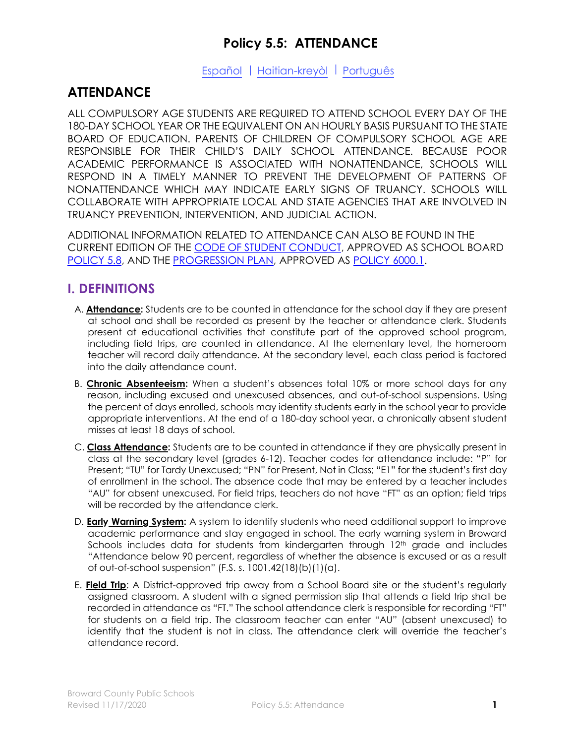# **Policy 5.5: ATTENDANCE**

### [Español](https://www.browardschools.com/cms/lib/FL01803656/Centricity/domain/13538/attendance/Policy_5_5_sp.pdf) | [Haitian-kreyòl](https://www.browardschools.com/cms/lib/FL01803656/Centricity/domain/13538/attendance/Policy%205.5_ht.pdf) | [Português](https://www.browardschools.com/cms/lib/FL01803656/Centricity/domain/13538/attendance/Policy%205.5_pt.pdf)

# **ATTENDANCE**

ALL COMPULSORY AGE STUDENTS ARE REQUIRED TO ATTEND SCHOOL EVERY DAY OF THE 180-DAY SCHOOL YEAR OR THE EQUIVALENT ON AN HOURLY BASIS PURSUANT TO THE STATE BOARD OF EDUCATION. PARENTS OF CHILDREN OF COMPULSORY SCHOOL AGE ARE RESPONSIBLE FOR THEIR CHILD'S DAILY SCHOOL ATTENDANCE. BECAUSE POOR ACADEMIC PERFORMANCE IS ASSOCIATED WITH NONATTENDANCE, SCHOOLS WILL RESPOND IN A TIMELY MANNER TO PREVENT THE DEVELOPMENT OF PATTERNS OF NONATTENDANCE WHICH MAY INDICATE EARLY SIGNS OF TRUANCY. SCHOOLS WILL COLLABORATE WITH APPROPRIATE LOCAL AND STATE AGENCIES THAT ARE INVOLVED IN TRUANCY PREVENTION, INTERVENTION, AND JUDICIAL ACTION.

ADDITIONAL INFORMATION RELATED TO ATTENDANCE CAN ALSO BE FOUND IN THE CURRENT EDITION OF THE [CODE OF STUDENT CONDUCT,](https://www.browardschools.com/codeofconduct) APPROVED AS SCHOOL BOARD [POLICY 5.8,](https://www.browardschools.com/codeofconduct) AND THE [PROGRESSION PLAN,](http://www.broward.k12.fl.us/sbbcpolicies/docs/Policy%206000_1-Student_Progression_Plan_2019-2020.pdf) APPROVED AS [POLICY 6000.1.](http://www.broward.k12.fl.us/sbbcpolicies/docs/Policy%206000_1-Student_Progression_Plan_2019-2020.pdf)

# **I. DEFINITIONS**

- A. **Attendance:** Students are to be counted in attendance for the school day if they are present at school and shall be recorded as present by the teacher or attendance clerk. Students present at educational activities that constitute part of the approved school program, including field trips, are counted in attendance. At the elementary level, the homeroom teacher will record daily attendance. At the secondary level, each class period is factored into the daily attendance count.
- B. **Chronic Absenteeism:** When a student's absences total 10% or more school days for any reason, including excused and unexcused absences, and out-of-school suspensions. Using the percent of days enrolled, schools may identity students early in the school year to provide appropriate interventions. At the end of a 180-day school year, a chronically absent student misses at least 18 days of school.
- C. **Class Attendance:** Students are to be counted in attendance if they are physically present in class at the secondary level (grades 6-12). Teacher codes for attendance include: "P" for Present; "TU" for Tardy Unexcused; "PN" for Present, Not in Class; "E1" for the student's first day of enrollment in the school. The absence code that may be entered by a teacher includes "AU" for absent unexcused. For field trips, teachers do not have "FT" as an option; field trips will be recorded by the attendance clerk.
- D. **Early Warning System:** A system to identify students who need additional support to improve academic performance and stay engaged in school. The early warning system in Broward Schools includes data for students from kindergarten through 12<sup>th</sup> grade and includes "Attendance below 90 percent, regardless of whether the absence is excused or as a result of out-of-school suspension" (F.S. s. 1001.42(18)(b)(1)(a).
- E. **Field Trip**: A District-approved trip away from a School Board site or the student's regularly assigned classroom. A student with a signed permission slip that attends a field trip shall be recorded in attendance as "FT." The school attendance clerk is responsible for recording "FT" for students on a field trip. The classroom teacher can enter "AU" (absent unexcused) to identify that the student is not in class. The attendance clerk will override the teacher's attendance record.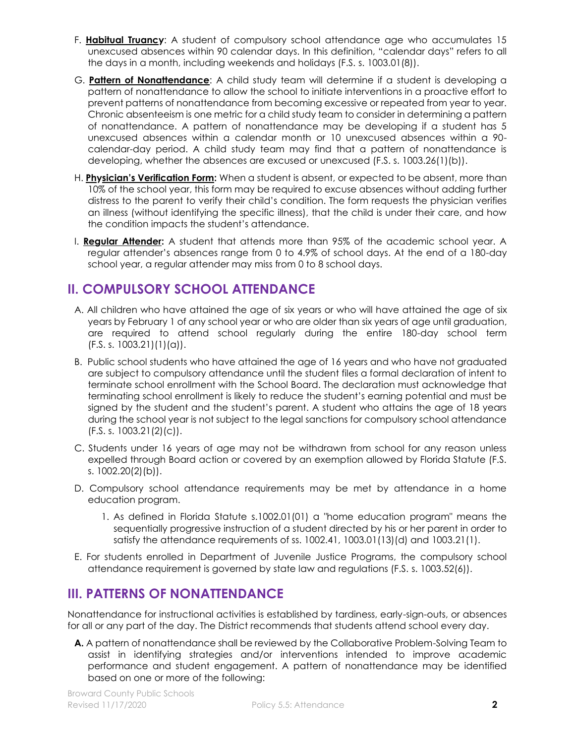- F. **Habitual Truancy**: A student of compulsory school attendance age who accumulates 15 unexcused absences within 90 calendar days. In this definition, "calendar days" refers to all the days in a month, including weekends and holidays (F.S. s. 1003.01(8)).
- G. **Pattern of Nonattendance**: A child study team will determine if a student is developing a pattern of nonattendance to allow the school to initiate interventions in a proactive effort to prevent patterns of nonattendance from becoming excessive or repeated from year to year. Chronic absenteeism is one metric for a child study team to consider in determining a pattern of nonattendance. A pattern of nonattendance may be developing if a student has 5 unexcused absences within a calendar month or 10 unexcused absences within a 90 calendar-day period. A child study team may find that a pattern of nonattendance is developing, whether the absences are excused or unexcused (F.S. s. 1003.26(1)(b)).
- H. **Physician's Verification Form:** When a student is absent, or expected to be absent, more than 10% of the school year, this form may be required to excuse absences without adding further distress to the parent to verify their child's condition. The form requests the physician verifies an illness (without identifying the specific illness), that the child is under their care, and how the condition impacts the student's attendance.
- I. **Regular Attender:** A student that attends more than 95% of the academic school year. A regular attender's absences range from 0 to 4.9% of school days. At the end of a 180-day school year, a regular attender may miss from 0 to 8 school days.

# **II. COMPULSORY SCHOOL ATTENDANCE**

- A. All children who have attained the age of six years or who will have attained the age of six years by February 1 of any school year or who are older than six years of age until graduation, are required to attend school regularly during the entire 180-day school term  $(F.S. s. 1003.21)(1)(a)$ .
- B. Public school students who have attained the age of 16 years and who have not graduated are subject to compulsory attendance until the student files a formal declaration of intent to terminate school enrollment with the School Board. The declaration must acknowledge that terminating school enrollment is likely to reduce the student's earning potential and must be signed by the student and the student's parent. A student who attains the age of 18 years during the school year is not subject to the legal sanctions for compulsory school attendance (F.S. s. 1003.21(2)(c)).
- C. Students under 16 years of age may not be withdrawn from school for any reason unless expelled through Board action or covered by an exemption allowed by Florida Statute (F.S. s. 1002.20(2)(b)).
- D. Compulsory school attendance requirements may be met by attendance in a home education program.
	- 1. As defined in Florida Statute s.1002.01(01) a "home education program" means the sequentially progressive instruction of a student directed by his or her parent in order to satisfy the attendance requirements of ss. 1002.41, 1003.01(13)(d) and 1003.21(1).
- E. For students enrolled in Department of Juvenile Justice Programs, the compulsory school attendance requirement is governed by state law and regulations (F.S. s. 1003.52(6)).

# **III. PATTERNS OF NONATTENDANCE**

Nonattendance for instructional activities is established by tardiness, early-sign-outs, or absences for all or any part of the day. The District recommends that students attend school every day.

**A.** A pattern of nonattendance shall be reviewed by the Collaborative Problem-Solving Team to assist in identifying strategies and/or interventions intended to improve academic performance and student engagement. A pattern of nonattendance may be identified based on one or more of the following: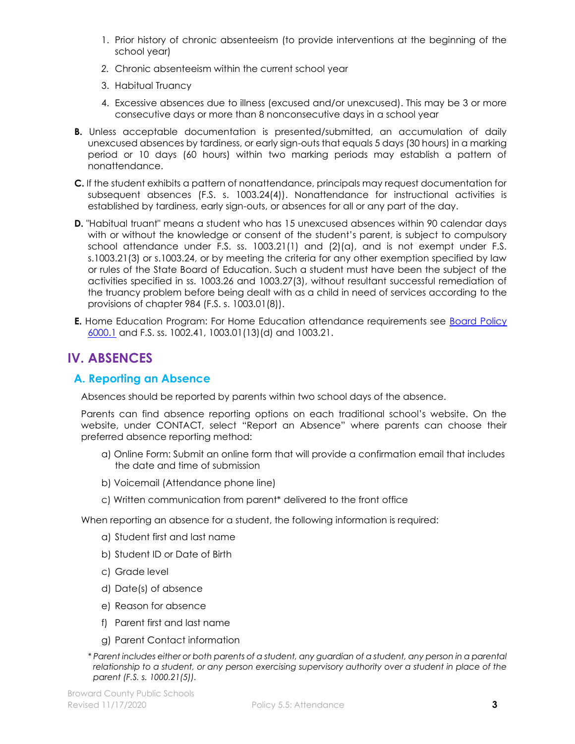- 1. Prior history of chronic absenteeism (to provide interventions at the beginning of the school year)
- *2.* Chronic absenteeism within the current school year
- 3. Habitual Truancy
- 4. Excessive absences due to illness (excused and/or unexcused). This may be 3 or more consecutive days or more than 8 nonconsecutive days in a school year
- **B.** Unless acceptable documentation is presented/submitted, an accumulation of daily unexcused absences by tardiness, or early sign-outs that equals 5 days (30 hours) in a marking period or 10 days (60 hours) within two marking periods may establish a pattern of nonattendance.
- **C.** If the student exhibits a pattern of nonattendance, principals may request documentation for subsequent absences (F.S. s. 1003.24(4)). Nonattendance for instructional activities is established by tardiness, early sign-outs, or absences for all or any part of the day.
- **D.** "Habitual truant" means a student who has 15 unexcused absences within 90 calendar days with or without the knowledge or consent of the student's parent, is subject to compulsory school attendance under F.S. ss. 1003.21(1) and  $(2)(a)$ , and is not exempt under F.S. s.1003.21(3) or s.1003.24, or by meeting the criteria for any other exemption specified by law or rules of the State Board of Education. Such a student must have been the subject of the activities specified in ss. 1003.26 and 1003.27(3), without resultant successful remediation of the truancy problem before being dealt with as a child in need of services according to the provisions of chapter 984 (F.S. s. 1003.01(8)).
- **E.** Home Education Program: For Home Education attendance requirements see Board Policy [6000.1](https://www.browardschools.com/progressionplan) and F.S. ss. 1002.41, 1003.01(13)(d) and 1003.21.

# **IV. ABSENCES**

## **A. Reporting an Absence**

Absences should be reported by parents within two school days of the absence.

Parents can find absence reporting options on each traditional school's website. On the website, under CONTACT, select "Report an Absence" where parents can choose their preferred absence reporting method:

- a) Online Form: Submit an online form that will provide a confirmation email that includes the date and time of submission
- b) Voicemail (Attendance phone line)
- c) Written communication from parent\* delivered to the front office

When reporting an absence for a student, the following information is required:

- a) Student first and last name
- b) Student ID or Date of Birth
- c) Grade level
- d) Date(s) of absence
- e) Reason for absence
- f) Parent first and last name
- g) Parent Contact information
- *\* Parent includes either or both parents of a student, any guardian of a student, any person in a parental relationship to a student, or any person exercising supervisory authority over a student in place of the parent (F.S. s. 1000.21(5)).*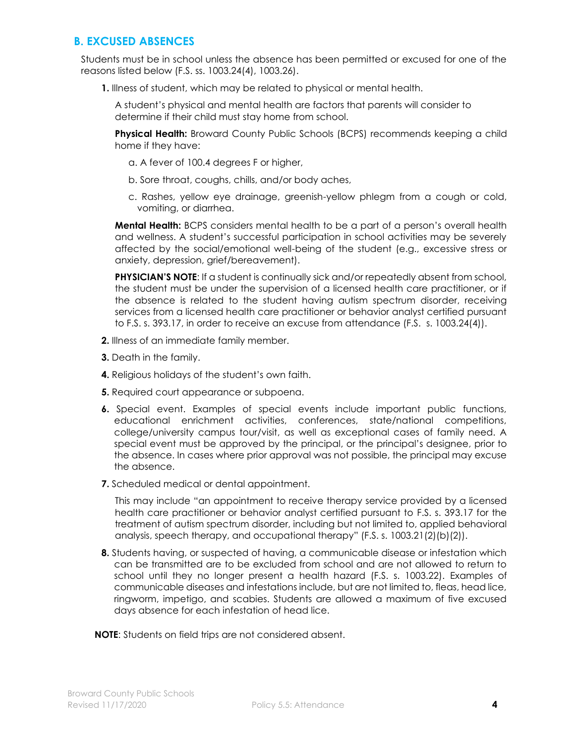## **B. EXCUSED ABSENCES**

Students must be in school unless the absence has been permitted or excused for one of the reasons listed below (F.S. ss. 1003.24(4), 1003.26).

**1.** Illness of student, which may be related to physical or mental health.

A student's physical and mental health are factors that parents will consider to determine if their child must stay home from school.

**Physical Health:** Broward County Public Schools (BCPS) recommends keeping a child home if they have:

- a. A fever of 100.4 degrees F or higher,
- b. Sore throat, coughs, chills, and/or body aches,
- c. Rashes, yellow eye drainage, greenish-yellow phlegm from a cough or cold, vomiting, or diarrhea.

**Mental Health:** BCPS considers mental health to be a part of a person's overall health and wellness. A student's successful participation in school activities may be severely affected by the social/emotional well-being of the student (e.g., excessive stress or anxiety, depression, grief/bereavement).

**PHYSICIAN'S NOTE:** If a student is continually sick and/or repeatedly absent from school, the student must be under the supervision of a licensed health care practitioner, or if the absence is related to the student having autism spectrum disorder, receiving services from a licensed health care practitioner or behavior analyst certified pursuant to F.S. s. 393.17, in order to receive an excuse from attendance (F.S. s. 1003.24(4)).

- **2.** Illness of an immediate family member.
- **3.** Death in the family.
- **4.** Religious holidays of the student's own faith.
- **5.** Required court appearance or subpoena.
- **6.** Special event. Examples of special events include important public functions, educational enrichment activities, conferences, state/national competitions, college/university campus tour/visit, as well as exceptional cases of family need. A special event must be approved by the principal, or the principal's designee, prior to the absence. In cases where prior approval was not possible, the principal may excuse the absence.
- **7.** Scheduled medical or dental appointment.

This may include "an appointment to receive therapy service provided by a licensed health care practitioner or behavior analyst certified pursuant to F.S. s. 393.17 for the treatment of autism spectrum disorder, including but not limited to, applied behavioral analysis, speech therapy, and occupational therapy" (F.S. s. 1003.21(2)(b)(2)).

**8.** Students having, or suspected of having, a communicable disease or infestation which can be transmitted are to be excluded from school and are not allowed to return to school until they no longer present a health hazard (F.S. s. 1003.22). Examples of communicable diseases and infestations include, but are not limited to, fleas, head lice, ringworm, impetigo, and scabies. Students are allowed a maximum of five excused days absence for each infestation of head lice.

**NOTE**: Students on field trips are not considered absent.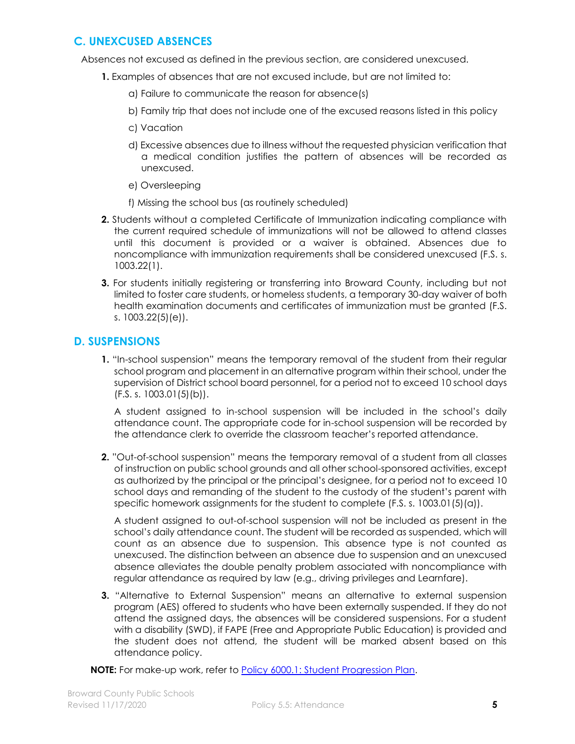## **C. UNEXCUSED ABSENCES**

Absences not excused as defined in the previous section, are considered unexcused.

- **1.** Examples of absences that are not excused include, but are not limited to:
	- a) Failure to communicate the reason for absence(s)
	- b) Family trip that does not include one of the excused reasons listed in this policy
	- c) Vacation
	- d) Excessive absences due to illness without the requested physician verification that a medical condition justifies the pattern of absences will be recorded as unexcused.
	- e) Oversleeping
	- f) Missing the school bus (as routinely scheduled)
- **2.** Students without a completed Certificate of Immunization indicating compliance with the current required schedule of immunizations will not be allowed to attend classes until this document is provided or a waiver is obtained. Absences due to noncompliance with immunization requirements shall be considered unexcused (F.S. s. 1003.22(1).
- **3.** For students initially registering or transferring into Broward County, including but not limited to foster care students, or homeless students, a temporary 30-day waiver of both health examination documents and certificates of immunization must be granted (F.S. s. 1003.22(5)(e)).

### **D. SUSPENSIONS**

**1.** "In-school suspension" means the temporary removal of the student from their regular school program and placement in an alternative program within their school, under the supervision of District school board personnel, for a period not to exceed 10 school days (F.S. s. 1003.01(5)(b)).

A student assigned to in-school suspension will be included in the school's daily attendance count. The appropriate code for in-school suspension will be recorded by the attendance clerk to override the classroom teacher's reported attendance.

**2.** "Out-of-school suspension" means the temporary removal of a student from all classes of instruction on public school grounds and all other school-sponsored activities, except as authorized by the principal or the principal's designee, for a period not to exceed 10 school days and remanding of the student to the custody of the student's parent with specific homework assignments for the student to complete (F.S. s. 1003.01(5)(a)).

A student assigned to out-of-school suspension will not be included as present in the school's daily attendance count. The student will be recorded as suspended, which will count as an absence due to suspension. This absence type is not counted as unexcused. The distinction between an absence due to suspension and an unexcused absence alleviates the double penalty problem associated with noncompliance with regular attendance as required by law (e.g., driving privileges and Learnfare).

**3.** "Alternative to External Suspension" means an alternative to external suspension program (AES) offered to students who have been externally suspended. If they do not attend the assigned days, the absences will be considered suspensions. For a student with a disability (SWD), if FAPE (Free and Appropriate Public Education) is provided and the student does not attend, the student will be marked absent based on this attendance policy.

**NOTE:** For make-up work, refer to [Policy 6000.1: Student Progression Plan.](https://www.browardschools.com/progressionplan)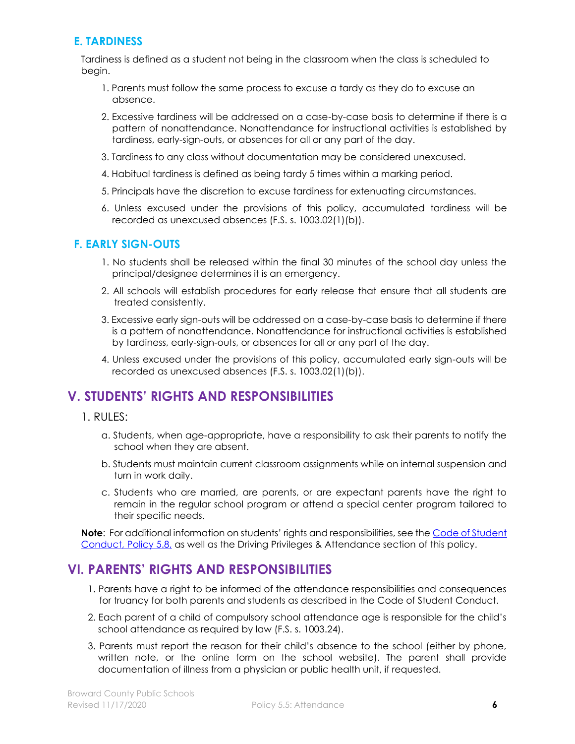## **E. TARDINESS**

Tardiness is defined as a student not being in the classroom when the class is scheduled to begin.

- 1. Parents must follow the same process to excuse a tardy as they do to excuse an absence.
- 2. Excessive tardiness will be addressed on a case-by-case basis to determine if there is a pattern of nonattendance. Nonattendance for instructional activities is established by tardiness, early-sign-outs, or absences for all or any part of the day.
- 3. Tardiness to any class without documentation may be considered unexcused.
- 4. Habitual tardiness is defined as being tardy 5 times within a marking period.
- 5. Principals have the discretion to excuse tardiness for extenuating circumstances.
- 6. Unless excused under the provisions of this policy, accumulated tardiness will be recorded as unexcused absences (F.S. s. 1003.02(1)(b)).

## **F. EARLY SIGN-OUTS**

- 1. No students shall be released within the final 30 minutes of the school day unless the principal/designee determines it is an emergency.
- 2. All schools will establish procedures for early release that ensure that all students are treated consistently.
- 3. Excessive early sign-outs will be addressed on a case-by-case basis to determine if there is a pattern of nonattendance. Nonattendance for instructional activities is established by tardiness, early-sign-outs, or absences for all or any part of the day.
- 4. Unless excused under the provisions of this policy, accumulated early sign-outs will be recorded as unexcused absences (F.S. s. 1003.02(1)(b)).

# **V. STUDENTS' RIGHTS AND RESPONSIBILITIES**

- 1. RULES:
	- a. Students, when age-appropriate, have a responsibility to ask their parents to notify the school when they are absent.
	- b. Students must maintain current classroom assignments while on internal suspension and turn in work daily.
	- c. Students who are married, are parents, or are expectant parents have the right to remain in the regular school program or attend a special center program tailored to their specific needs.

**Note**: For additional information on students' rights and responsibilities, see the [Code of Student](https://www.browardschools.com/codeofconduct)  [Conduct,](https://www.browardschools.com/codeofconduct) Policy 5.8, as well as the Driving Privileges & Attendance section of this policy.

# **VI. PARENTS' RIGHTS AND RESPONSIBILITIES**

- 1. Parents have a right to be informed of the attendance responsibilities and consequences for truancy for both parents and students as described in the Code of Student Conduct.
- 2. Each parent of a child of compulsory school attendance age is responsible for the child's school attendance as required by law (F.S. s. 1003.24).
- 3. Parents must report the reason for their child's absence to the school (either by phone, written note, or the online form on the school website). The parent shall provide documentation of illness from a physician or public health unit, if requested.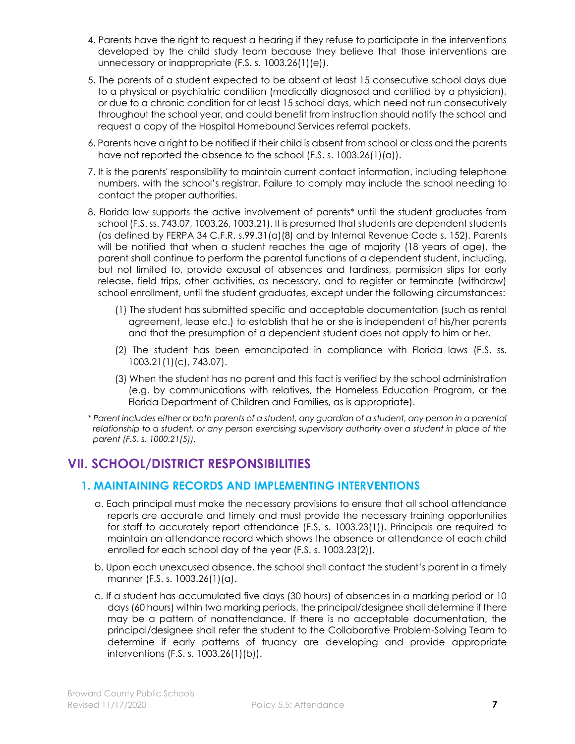- 4. Parents have the right to request a hearing if they refuse to participate in the interventions developed by the child study team because they believe that those interventions are unnecessary or inappropriate (F.S. s. 1003.26(1)(e)).
- 5. The parents of a student expected to be absent at least 15 consecutive school days due to a physical or psychiatric condition (medically diagnosed and certified by a physician), or due to a chronic condition for at least 15 school days, which need not run consecutively throughout the school year, and could benefit from instruction should notify the school and request a copy of the Hospital Homebound Services referral packets.
- 6. Parents have a right to be notified if their child is absent from school or class and the parents have not reported the absence to the school (F.S. s. 1003.26(1)(a)).
- 7. It is the parents' responsibility to maintain current contact information, including telephone numbers, with the school's registrar. Failure to comply may include the school needing to contact the proper authorities.
- 8. Florida law supports the active involvement of parents\* until the student graduates from school (F.S. ss. 743.07, 1003.26, 1003.21). It is presumed that students are dependent students (as defined by FERPA 34 C.F.R. s.99.31(a)(8) and by Internal Revenue Code s. 152). Parents will be notified that when a student reaches the age of majority (18 years of age), the parent shall continue to perform the parental functions of a dependent student, including, but not limited to, provide excusal of absences and tardiness, permission slips for early release, field trips, other activities, as necessary, and to register or terminate (withdraw) school enrollment, until the student graduates, except under the following circumstances:
	- (1) The student has submitted specific and acceptable documentation (such as rental agreement, lease etc.) to establish that he or she is independent of his/her parents and that the presumption of a dependent student does not apply to him or her.
	- (2) The student has been emancipated in compliance with Florida laws (F.S. ss. 1003.21(1)(c), 743.07).
	- (3) When the student has no parent and this fact is verified by the school administration (e.g. by communications with relatives, the Homeless Education Program, or the Florida Department of Children and Families, as is appropriate).
- *\* Parent includes either or both parents of a student, any guardian of a student, any person in a parental relationship to a student, or any person exercising supervisory authority over a student in place of the parent (F.S. s. 1000.21(5)).*

# **VII. SCHOOL/DISTRICT RESPONSIBILITIES**

## **1. MAINTAINING RECORDS AND IMPLEMENTING INTERVENTIONS**

- a. Each principal must make the necessary provisions to ensure that all school attendance reports are accurate and timely and must provide the necessary training opportunities for staff to accurately report attendance (F.S. s. 1003.23(1)). Principals are required to maintain an attendance record which shows the absence or attendance of each child enrolled for each school day of the year (F.S. s. 1003.23(2)).
- b. Upon each unexcused absence, the school shall contact the student's parent in a timely manner (F.S. s. 1003.26(1)(a).
- c. If a student has accumulated five days (30 hours) of absences in a marking period or 10 days (60 hours) within two marking periods, the principal/designee shall determine if there may be a pattern of nonattendance. If there is no acceptable documentation, the principal/designee shall refer the student to the Collaborative Problem-Solving Team to determine if early patterns of truancy are developing and provide appropriate interventions (F.S. s. 1003.26(1)(b)).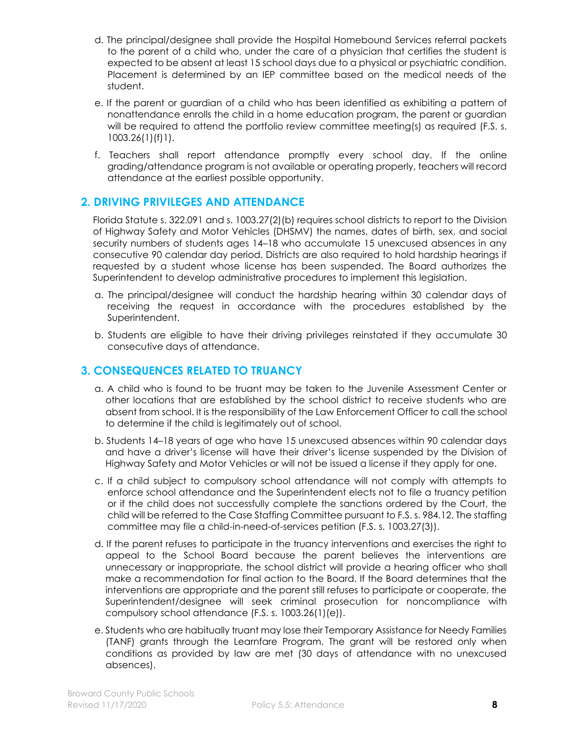- d. The principal/designee shall provide the Hospital Homebound Services referral packets to the parent of a child who, under the care of a physician that certifies the student is expected to be absent at least 15 school days due to a physical or psychiatric condition. Placement is determined by an IEP committee based on the medical needs of the student.
- e. If the parent or guardian of a child who has been identified as exhibiting a pattern of nonattendance enrolls the child in a home education program, the parent or guardian will be required to attend the portfolio review committee meeting(s) as required (F.S. s. 1003.26(1)(f)1).
- f. Teachers shall report attendance promptly every school day. If the online grading/attendance program is not available or operating properly, teachers will record attendance at the earliest possible opportunity.

### **2. DRIVING PRIVILEGES AND ATTENDANCE**

Florida Statute s. 322.091 and s. 1003.27(2)(b) requires school districts to report to the Division of Highway Safety and Motor Vehicles (DHSMV) the names, dates of birth, sex, and social security numbers of students ages 14–18 who accumulate 15 unexcused absences in any consecutive 90 calendar day period. Districts are also required to hold hardship hearings if requested by a student whose license has been suspended. The Board authorizes the Superintendent to develop administrative procedures to implement this legislation.

- a. The principal/designee will conduct the hardship hearing within 30 calendar days of receiving the request in accordance with the procedures established by the Superintendent.
- b. Students are eligible to have their driving privileges reinstated if they accumulate 30 consecutive days of attendance.

### **3. CONSEQUENCES RELATED TO TRUANCY**

- a. A child who is found to be truant may be taken to the Juvenile Assessment Center or other locations that are established by the school district to receive students who are absent from school. It is the responsibility of the Law Enforcement Officer to call the school to determine if the child is legitimately out of school.
- b. Students 14–18 years of age who have 15 unexcused absences within 90 calendar days and have a driver's license will have their driver's license suspended by the Division of Highway Safety and Motor Vehicles or will not be issued a license if they apply for one.
- c. If a child subject to compulsory school attendance will not comply with attempts to enforce school attendance and the Superintendent elects not to file a truancy petition or if the child does not successfully complete the sanctions ordered by the Court, the child will be referred to the Case Staffing Committee pursuant to F.S. s. 984.12. The staffing committee may file a child-in-need-of-services petition (F.S. s. 1003.27(3)).
- d. If the parent refuses to participate in the truancy interventions and exercises the right to appeal to the School Board because the parent believes the interventions are unnecessary or inappropriate, the school district will provide a hearing officer who shall make a recommendation for final action to the Board. If the Board determines that the interventions are appropriate and the parent still refuses to participate or cooperate, the Superintendent/designee will seek criminal prosecution for noncompliance with compulsory school attendance (F.S. s. 1003.26(1)(e)).
- e. Students who are habitually truant may lose their Temporary Assistance for Needy Families (TANF) grants through the Learnfare Program. The grant will be restored only when conditions as provided by law are met (30 days of attendance with no unexcused absences).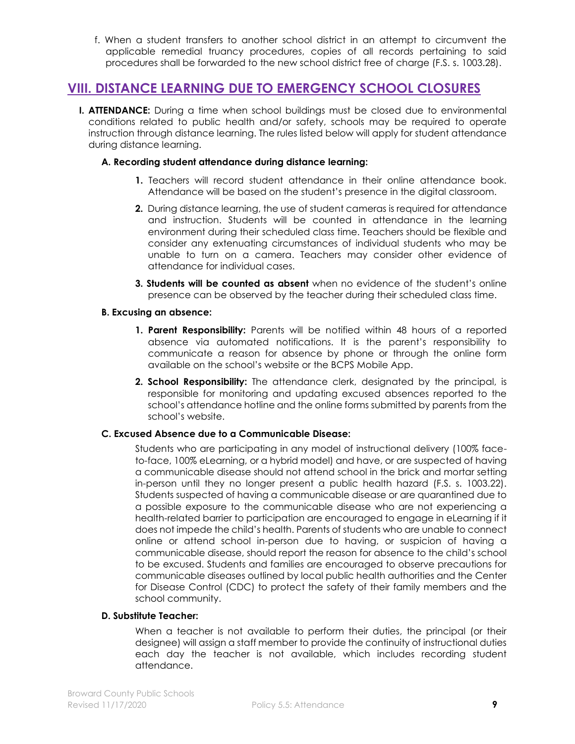f. When a student transfers to another school district in an attempt to circumvent the applicable remedial truancy procedures, copies of all records pertaining to said procedures shall be forwarded to the new school district free of charge (F.S. s. 1003.28).

# **VIII. DISTANCE LEARNING DUE TO EMERGENCY SCHOOL CLOSURES**

**I. ATTENDANCE:** During a time when school buildings must be closed due to environmental conditions related to public health and/or safety, schools may be required to operate instruction through distance learning. The rules listed below will apply for student attendance during distance learning.

#### **A. Recording student attendance during distance learning:**

- **1.** Teachers will record student attendance in their online attendance book. Attendance will be based on the student's presence in the digital classroom.
- **2.** During distance learning, the use of student cameras is required for attendance and instruction. Students will be counted in attendance in the learning environment during their scheduled class time. Teachers should be flexible and consider any extenuating circumstances of individual students who may be unable to turn on a camera. Teachers may consider other evidence of attendance for individual cases.
- **3. Students will be counted as absent** when no evidence of the student's online presence can be observed by the teacher during their scheduled class time.

#### **B. Excusing an absence:**

- **1. Parent Responsibility:** Parents will be notified within 48 hours of a reported absence via automated notifications. It is the parent's responsibility to communicate a reason for absence by phone or through the online form available on the school's website or the BCPS Mobile App.
- **2. School Responsibility:** The attendance clerk, designated by the principal, is responsible for monitoring and updating excused absences reported to the school's attendance hotline and the online forms submitted by parents from the school's website.

#### **C. Excused Absence due to a Communicable Disease:**

Students who are participating in any model of instructional delivery (100% faceto-face, 100% eLearning, or a hybrid model) and have, or are suspected of having a communicable disease should not attend school in the brick and mortar setting in-person until they no longer present a public health hazard (F.S. s. 1003.22). Students suspected of having a communicable disease or are quarantined due to a possible exposure to the communicable disease who are not experiencing a health-related barrier to participation are encouraged to engage in eLearning if it does not impede the child's health. Parents of students who are unable to connect online or attend school in-person due to having, or suspicion of having a communicable disease, should report the reason for absence to the child's school to be excused. Students and families are encouraged to observe precautions for communicable diseases outlined by local public health authorities and the Center for Disease Control (CDC) to protect the safety of their family members and the school community.

#### **D. Substitute Teacher:**

When a teacher is not available to perform their duties, the principal (or their designee) will assign a staff member to provide the continuity of instructional duties each day the teacher is not available, which includes recording student attendance.